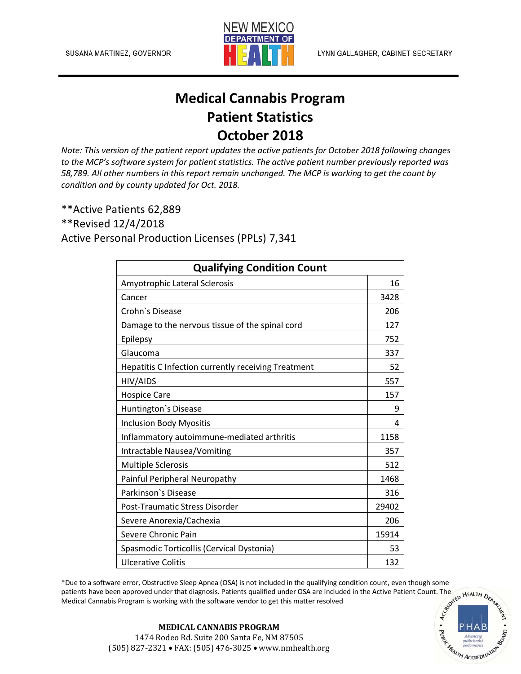

## **Medical Cannabis Program Patient Statistics October 2018**

*Note: This version of the patient report updates the active patients for October 2018 following changes to the MCP's software system for patient statistics. The active patient number previously reported was 58,789. All other numbers in this report remain unchanged. The MCP is working to get the count by condition and by county updated for Oct. 2018.*

\*\*Active Patients 62,889

\*\*Revised 12/4/2018

Active Personal Production Licenses (PPLs) 7,341

| <b>Qualifying Condition Count</b>                   |       |
|-----------------------------------------------------|-------|
| Amyotrophic Lateral Sclerosis                       | 16    |
| Cancer                                              | 3428  |
| Crohn's Disease                                     | 206   |
| Damage to the nervous tissue of the spinal cord     | 127   |
| Epilepsy                                            | 752   |
| Glaucoma                                            | 337   |
| Hepatitis C Infection currently receiving Treatment | 52    |
| HIV/AIDS                                            | 557   |
| <b>Hospice Care</b>                                 | 157   |
| Huntington's Disease                                | 9     |
| <b>Inclusion Body Myositis</b>                      | 4     |
| Inflammatory autoimmune-mediated arthritis          | 1158  |
| Intractable Nausea/Vomiting                         | 357   |
| <b>Multiple Sclerosis</b>                           | 512   |
| Painful Peripheral Neuropathy                       | 1468  |
| Parkinson's Disease                                 | 316   |
| Post-Traumatic Stress Disorder                      | 29402 |
| Severe Anorexia/Cachexia                            | 206   |
| Severe Chronic Pain                                 | 15914 |
| Spasmodic Torticollis (Cervical Dystonia)           | 53    |
| <b>Ulcerative Colitis</b>                           | 132   |

\*Due to a software error, Obstructive Sleep Apnea (OSA) is not included in the qualifying condition count, even though some patients have been approved under that diagnosis. Patients qualified under OSA are included in th patients have been approved under that diagnosis. Patients qualified under OSA are included in the Active Patient Count. The Medical Cannabis Program is working with the software vendor to get this matter resolved